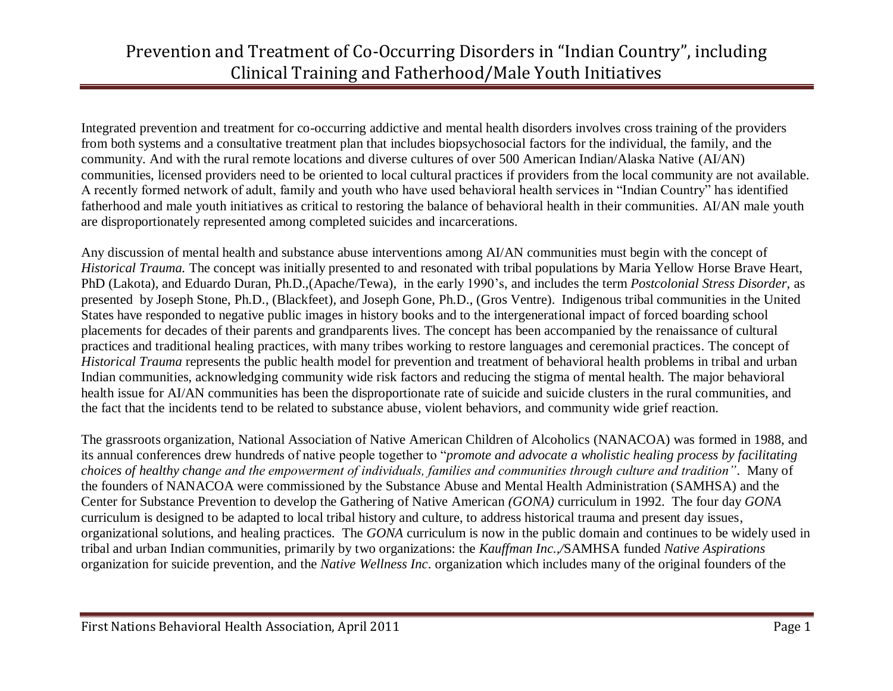Integrated prevention and treatment for co-occurring addictive and mental health disorders involves cross training of the providers from both systems and a consultative treatment plan that includes biopsychosocial factors for the individual, the family, and the community. And with the rural remote locations and diverse cultures of over 500 American Indian/Alaska Native (AI/AN) communities, licensed providers need to be oriented to local cultural practices if providers from the local community are not available. A recently formed network of adult, family and youth who have used behavioral health services in "Indian Country" has identified fatherhood and male youth initiatives as critical to restoring the balance of behavioral health in their communities. AI/AN male youth are disproportionately represented among completed suicides and incarcerations.

Any discussion of mental health and substance abuse interventions among AI/AN communities must begin with the concept of *Historical Trauma.* The concept was initially presented to and resonated with tribal populations by Maria Yellow Horse Brave Heart, PhD (Lakota), and Eduardo Duran, Ph.D.,(Apache/Tewa), in the early 1990's, and includes the term *Postcolonial Stress Disorder,* as presented by Joseph Stone, Ph.D., (Blackfeet), and Joseph Gone, Ph.D., (Gros Ventre). Indigenous tribal communities in the United States have responded to negative public images in history books and to the intergenerational impact of forced boarding school placements for decades of their parents and grandparents lives. The concept has been accompanied by the renaissance of cultural practices and traditional healing practices, with many tribes working to restore languages and ceremonial practices. The concept of *Historical Trauma* represents the public health model for prevention and treatment of behavioral health problems in tribal and urban Indian communities, acknowledging community wide risk factors and reducing the stigma of mental health. The major behavioral health issue for AI/AN communities has been the disproportionate rate of suicide and suicide clusters in the rural communities, and the fact that the incidents tend to be related to substance abuse, violent behaviors, and community wide grief reaction.

The grassroots organization, National Association of Native American Children of Alcoholics (NANACOA) was formed in 1988, and its annual conferences drew hundreds of native people together to "*promote and advocate a wholistic healing process by facilitating choices of healthy change and the empowerment of individuals, families and communities through culture and tradition"*. Many of the founders of NANACOA were commissioned by the Substance Abuse and Mental Health Administration (SAMHSA) and the Center for Substance Prevention to develop the Gathering of Native American *(GONA)* curriculum in 1992. The four day *GONA* curriculum is designed to be adapted to local tribal history and culture, to address historical trauma and present day issues, organizational solutions, and healing practices. The *GONA* curriculum is now in the public domain and continues to be widely used in tribal and urban Indian communities, primarily by two organizations: the *Kauffman Inc.,/*SAMHSA funded *Native Aspirations* organization for suicide prevention, and the *Native Wellness Inc*. organization which includes many of the original founders of the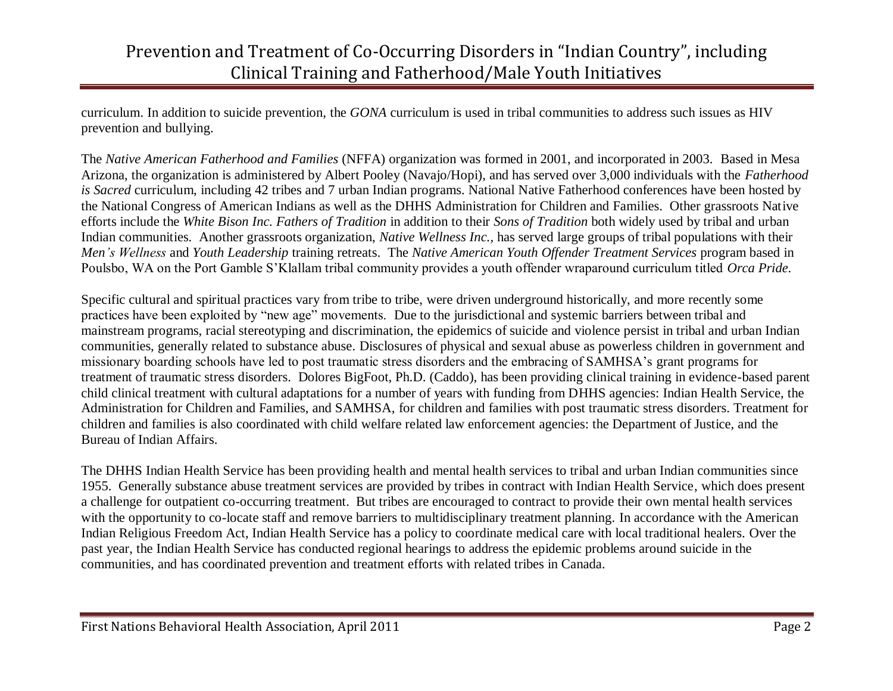curriculum. In addition to suicide prevention, the *GONA* curriculum is used in tribal communities to address such issues as HIV prevention and bullying.

The *Native American Fatherhood and Families* (NFFA) organization was formed in 2001, and incorporated in 2003. Based in Mesa Arizona, the organization is administered by Albert Pooley (Navajo/Hopi), and has served over 3,000 individuals with the *Fatherhood is Sacred* curriculum, including 42 tribes and 7 urban Indian programs. National Native Fatherhood conferences have been hosted by the National Congress of American Indians as well as the DHHS Administration for Children and Families. Other grassroots Native efforts include the *White Bison Inc. Fathers of Tradition* in addition to their *Sons of Tradition* both widely used by tribal and urban Indian communities. Another grassroots organization, *Native Wellness Inc.,* has served large groups of tribal populations with their *Men's Wellness* and *Youth Leadership* training retreats. The *Native American Youth Offender Treatment Services* program based in Poulsbo, WA on the Port Gamble S'Klallam tribal community provides a youth offender wraparound curriculum titled *Orca Pride.* 

Specific cultural and spiritual practices vary from tribe to tribe, were driven underground historically, and more recently some practices have been exploited by "new age" movements. Due to the jurisdictional and systemic barriers between tribal and mainstream programs, racial stereotyping and discrimination, the epidemics of suicide and violence persist in tribal and urban Indian communities, generally related to substance abuse. Disclosures of physical and sexual abuse as powerless children in government and missionary boarding schools have led to post traumatic stress disorders and the embracing of SAMHSA's grant programs for treatment of traumatic stress disorders. Dolores BigFoot, Ph.D. (Caddo), has been providing clinical training in evidence-based parent child clinical treatment with cultural adaptations for a number of years with funding from DHHS agencies: Indian Health Service, the Administration for Children and Families, and SAMHSA, for children and families with post traumatic stress disorders. Treatment for children and families is also coordinated with child welfare related law enforcement agencies: the Department of Justice, and the Bureau of Indian Affairs.

The DHHS Indian Health Service has been providing health and mental health services to tribal and urban Indian communities since 1955. Generally substance abuse treatment services are provided by tribes in contract with Indian Health Service, which does present a challenge for outpatient co-occurring treatment. But tribes are encouraged to contract to provide their own mental health services with the opportunity to co-locate staff and remove barriers to multidisciplinary treatment planning. In accordance with the American Indian Religious Freedom Act, Indian Health Service has a policy to coordinate medical care with local traditional healers. Over the past year, the Indian Health Service has conducted regional hearings to address the epidemic problems around suicide in the communities, and has coordinated prevention and treatment efforts with related tribes in Canada.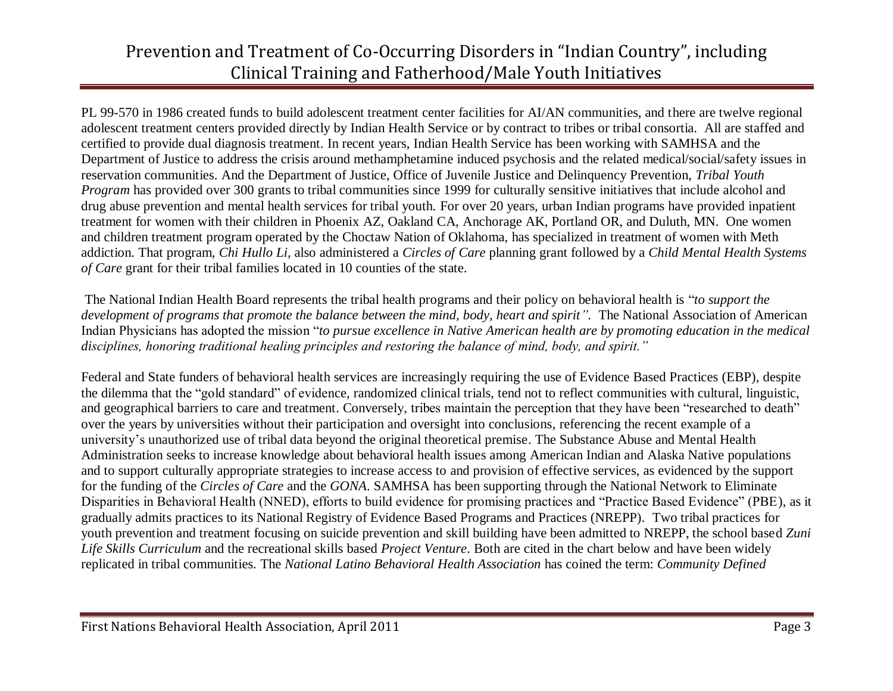PL 99-570 in 1986 created funds to build adolescent treatment center facilities for AI/AN communities, and there are twelve regional adolescent treatment centers provided directly by Indian Health Service or by contract to tribes or tribal consortia. All are staffed and certified to provide dual diagnosis treatment. In recent years, Indian Health Service has been working with SAMHSA and the Department of Justice to address the crisis around methamphetamine induced psychosis and the related medical/social/safety issues in reservation communities. And the Department of Justice, Office of Juvenile Justice and Delinquency Prevention, *Tribal Youth Program* has provided over 300 grants to tribal communities since 1999 for culturally sensitive initiatives that include alcohol and drug abuse prevention and mental health services for tribal youth. For over 20 years, urban Indian programs have provided inpatient treatment for women with their children in Phoenix AZ, Oakland CA, Anchorage AK, Portland OR, and Duluth, MN. One women and children treatment program operated by the Choctaw Nation of Oklahoma, has specialized in treatment of women with Meth addiction. That program, *Chi Hullo Li,* also administered a *Circles of Care* planning grant followed by a *Child Mental Health Systems of Care* grant for their tribal families located in 10 counties of the state.

The National Indian Health Board represents the tribal health programs and their policy on behavioral health is "*to support the development of programs that promote the balance between the mind, body, heart and spirit".* The National Association of American Indian Physicians has adopted the mission "*to pursue excellence in Native American health are by promoting education in the medical disciplines, honoring traditional healing principles and restoring the balance of mind, body, and spirit."*

Federal and State funders of behavioral health services are increasingly requiring the use of Evidence Based Practices (EBP), despite the dilemma that the "gold standard" of evidence, randomized clinical trials, tend not to reflect communities with cultural, linguistic, and geographical barriers to care and treatment. Conversely, tribes maintain the perception that they have been "researched to death" over the years by universities without their participation and oversight into conclusions, referencing the recent example of a university's unauthorized use of tribal data beyond the original theoretical premise. The Substance Abuse and Mental Health Administration seeks to increase knowledge about behavioral health issues among American Indian and Alaska Native populations and to support culturally appropriate strategies to increase access to and provision of effective services, as evidenced by the support for the funding of the *Circles of Care* and the *GONA*. SAMHSA has been supporting through the National Network to Eliminate Disparities in Behavioral Health (NNED), efforts to build evidence for promising practices and "Practice Based Evidence" (PBE), as it gradually admits practices to its National Registry of Evidence Based Programs and Practices (NREPP). Two tribal practices for youth prevention and treatment focusing on suicide prevention and skill building have been admitted to NREPP, the school based *Zuni Life Skills Curriculum* and the recreational skills based *Project Venture*. Both are cited in the chart below and have been widely replicated in tribal communities. The *National Latino Behavioral Health Association* has coined the term: *Community Defined*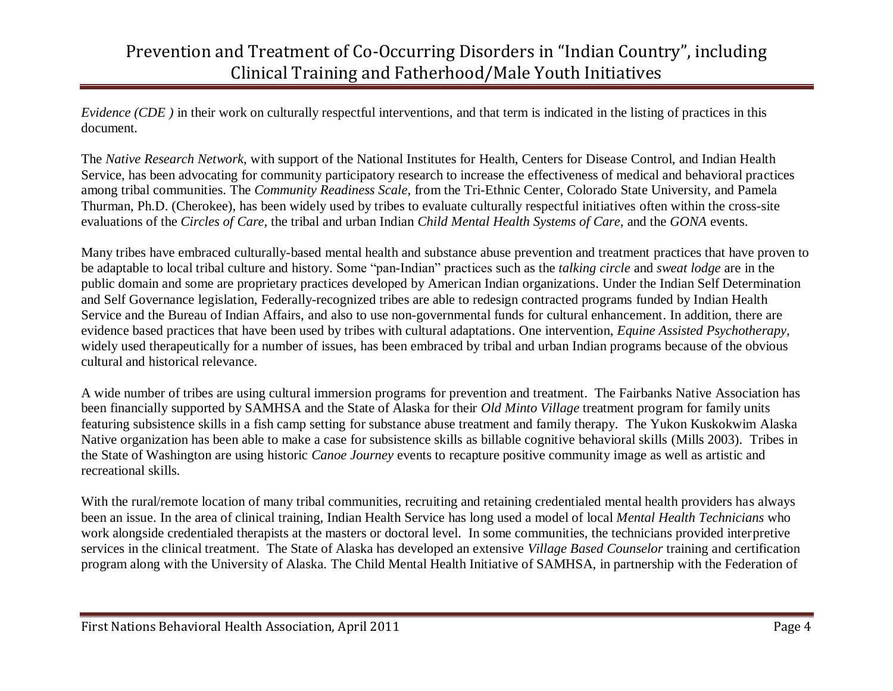*Evidence (CDE)* in their work on culturally respectful interventions, and that term is indicated in the listing of practices in this document*.* 

The *Native Research Network*, with support of the National Institutes for Health, Centers for Disease Control, and Indian Health Service, has been advocating for community participatory research to increase the effectiveness of medical and behavioral practices among tribal communities. The *Community Readiness Scale*, from the Tri-Ethnic Center, Colorado State University, and Pamela Thurman, Ph.D. (Cherokee), has been widely used by tribes to evaluate culturally respectful initiatives often within the cross-site evaluations of the *Circles of Care,* the tribal and urban Indian *Child Mental Health Systems of Care,* and the *GONA* events.

Many tribes have embraced culturally-based mental health and substance abuse prevention and treatment practices that have proven to be adaptable to local tribal culture and history. Some "pan-Indian" practices such as the *talking circle* and *sweat lodge* are in the public domain and some are proprietary practices developed by American Indian organizations. Under the Indian Self Determination and Self Governance legislation, Federally-recognized tribes are able to redesign contracted programs funded by Indian Health Service and the Bureau of Indian Affairs, and also to use non-governmental funds for cultural enhancement. In addition, there are evidence based practices that have been used by tribes with cultural adaptations. One intervention, *Equine Assisted Psychotherapy,* widely used therapeutically for a number of issues, has been embraced by tribal and urban Indian programs because of the obvious cultural and historical relevance.

A wide number of tribes are using cultural immersion programs for prevention and treatment. The Fairbanks Native Association has been financially supported by SAMHSA and the State of Alaska for their *Old Minto Village* treatment program for family units featuring subsistence skills in a fish camp setting for substance abuse treatment and family therapy. The Yukon Kuskokwim Alaska Native organization has been able to make a case for subsistence skills as billable cognitive behavioral skills (Mills 2003). Tribes in the State of Washington are using historic *Canoe Journey* events to recapture positive community image as well as artistic and recreational skills.

With the rural/remote location of many tribal communities, recruiting and retaining credentialed mental health providers has always been an issue. In the area of clinical training, Indian Health Service has long used a model of local *Mental Health Technicians* who work alongside credentialed therapists at the masters or doctoral level. In some communities, the technicians provided interpretive services in the clinical treatment. The State of Alaska has developed an extensive *Village Based Counselor* training and certification program along with the University of Alaska. The Child Mental Health Initiative of SAMHSA, in partnership with the Federation of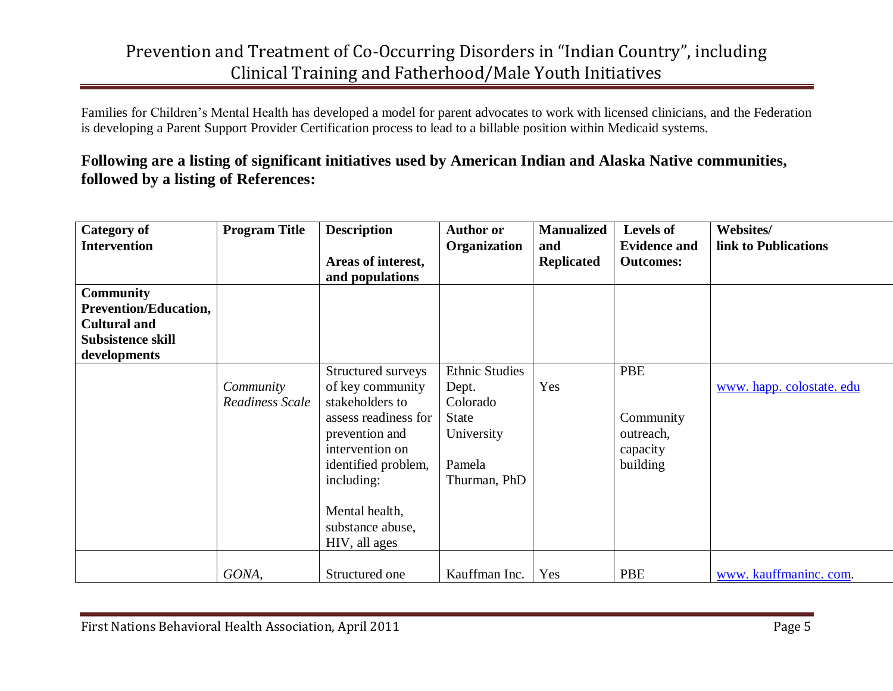Families for Children's Mental Health has developed a model for parent advocates to work with licensed clinicians, and the Federation is developing a Parent Support Provider Certification process to lead to a billable position within Medicaid systems.

#### **Following are a listing of significant initiatives used by American Indian and Alaska Native communities, followed by a listing of References:**

| <b>Category of</b>           | <b>Program Title</b> | <b>Description</b>   | <b>Author or</b>      | <b>Manualized</b> | <b>Levels of</b>    | Websites/                 |
|------------------------------|----------------------|----------------------|-----------------------|-------------------|---------------------|---------------------------|
| <b>Intervention</b>          |                      |                      | Organization          | and               | <b>Evidence and</b> | link to Publications      |
|                              |                      | Areas of interest,   |                       | <b>Replicated</b> | <b>Outcomes:</b>    |                           |
|                              |                      | and populations      |                       |                   |                     |                           |
| <b>Community</b>             |                      |                      |                       |                   |                     |                           |
| <b>Prevention/Education,</b> |                      |                      |                       |                   |                     |                           |
| <b>Cultural and</b>          |                      |                      |                       |                   |                     |                           |
| Subsistence skill            |                      |                      |                       |                   |                     |                           |
| developments                 |                      |                      |                       |                   |                     |                           |
|                              |                      | Structured surveys   | <b>Ethnic Studies</b> |                   | PBE                 |                           |
|                              | Community            | of key community     | Dept.                 | Yes               |                     | www. happ. colostate. edu |
|                              | Readiness Scale      | stakeholders to      | Colorado              |                   |                     |                           |
|                              |                      | assess readiness for | <b>State</b>          |                   | Community           |                           |
|                              |                      | prevention and       | University            |                   | outreach,           |                           |
|                              |                      | intervention on      |                       |                   | capacity            |                           |
|                              |                      | identified problem,  | Pamela                |                   | building            |                           |
|                              |                      | including:           | Thurman, PhD          |                   |                     |                           |
|                              |                      |                      |                       |                   |                     |                           |
|                              |                      | Mental health,       |                       |                   |                     |                           |
|                              |                      | substance abuse,     |                       |                   |                     |                           |
|                              |                      | HIV, all ages        |                       |                   |                     |                           |
|                              | GONA,                | Structured one       | Kauffman Inc.         | Yes               | PBE                 | www. kauffmaninc. com.    |
|                              |                      |                      |                       |                   |                     |                           |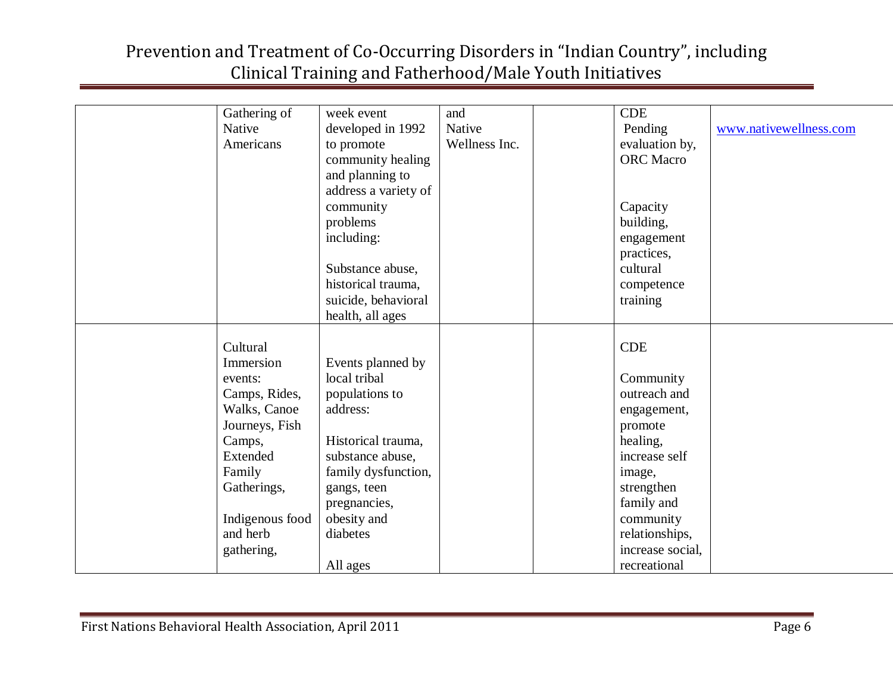| Gathering of    | week event           | and           | <b>CDE</b>       |                        |
|-----------------|----------------------|---------------|------------------|------------------------|
| Native          | developed in 1992    | Native        | Pending          | www.nativewellness.com |
| Americans       | to promote           | Wellness Inc. | evaluation by,   |                        |
|                 | community healing    |               | <b>ORC</b> Macro |                        |
|                 | and planning to      |               |                  |                        |
|                 | address a variety of |               |                  |                        |
|                 | community            |               | Capacity         |                        |
|                 | problems             |               | building,        |                        |
|                 | including:           |               | engagement       |                        |
|                 |                      |               | practices,       |                        |
|                 | Substance abuse,     |               | cultural         |                        |
|                 | historical trauma,   |               | competence       |                        |
|                 | suicide, behavioral  |               | training         |                        |
|                 | health, all ages     |               |                  |                        |
|                 |                      |               |                  |                        |
| Cultural        |                      |               | <b>CDE</b>       |                        |
| Immersion       | Events planned by    |               |                  |                        |
| events:         | local tribal         |               | Community        |                        |
| Camps, Rides,   | populations to       |               | outreach and     |                        |
| Walks, Canoe    | address:             |               | engagement,      |                        |
| Journeys, Fish  |                      |               | promote          |                        |
| Camps,          | Historical trauma,   |               | healing,         |                        |
| Extended        | substance abuse,     |               | increase self    |                        |
| Family          | family dysfunction,  |               | image,           |                        |
| Gatherings,     | gangs, teen          |               | strengthen       |                        |
|                 | pregnancies,         |               | family and       |                        |
| Indigenous food | obesity and          |               | community        |                        |
| and herb        | diabetes             |               | relationships,   |                        |
| gathering,      |                      |               | increase social, |                        |
|                 | All ages             |               | recreational     |                        |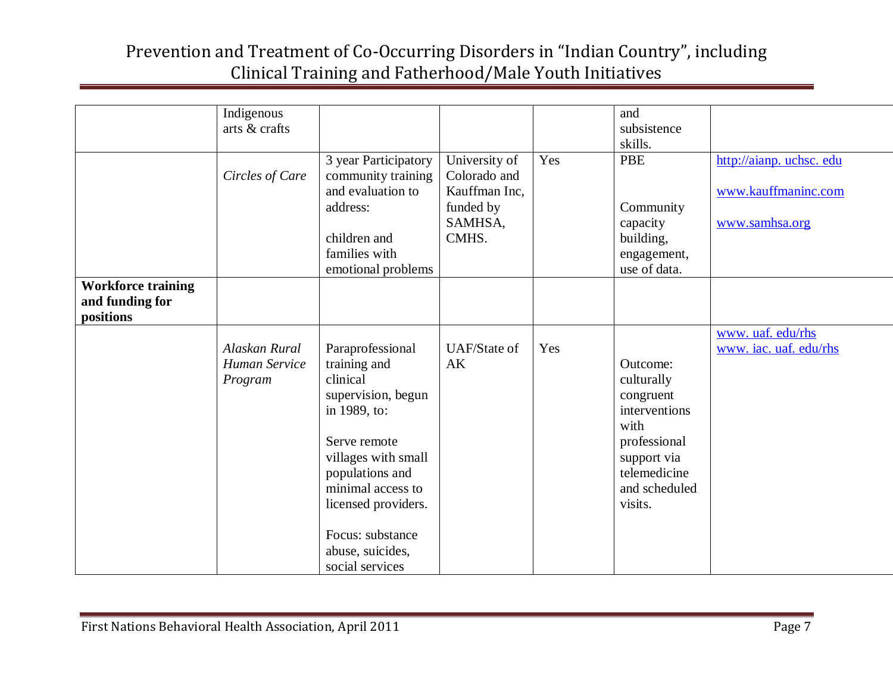|                           | Indigenous      |                          |                     |     | and           |                        |
|---------------------------|-----------------|--------------------------|---------------------|-----|---------------|------------------------|
|                           | arts & crafts   |                          |                     |     | subsistence   |                        |
|                           |                 |                          |                     |     | skills.       |                        |
|                           |                 | 3 year Participatory     | University of       | Yes | <b>PBE</b>    | http://aianp.uchsc.edu |
|                           | Circles of Care | community training       | Colorado and        |     |               |                        |
|                           |                 | and evaluation to        | Kauffman Inc,       |     |               | www.kauffmaninc.com    |
|                           |                 | address:                 | funded by           |     | Community     |                        |
|                           |                 |                          | SAMHSA,             |     | capacity      | www.samhsa.org         |
|                           |                 | children and             | CMHS.               |     | building,     |                        |
|                           |                 | families with            |                     |     | engagement,   |                        |
|                           |                 | emotional problems       |                     |     | use of data.  |                        |
| <b>Workforce training</b> |                 |                          |                     |     |               |                        |
| and funding for           |                 |                          |                     |     |               |                        |
| positions                 |                 |                          |                     |     |               |                        |
|                           |                 |                          |                     |     |               | www. uaf. edu/rhs      |
|                           | Alaskan Rural   |                          | <b>UAF/State of</b> | Yes |               |                        |
|                           |                 | Paraprofessional         |                     |     |               | www. iac. uaf. edu/rhs |
|                           | Human Service   | training and<br>clinical | AK                  |     | Outcome:      |                        |
|                           | Program         |                          |                     |     | culturally    |                        |
|                           |                 | supervision, begun       |                     |     | congruent     |                        |
|                           |                 | in 1989, to:             |                     |     | interventions |                        |
|                           |                 |                          |                     |     | with          |                        |
|                           |                 | Serve remote             |                     |     | professional  |                        |
|                           |                 | villages with small      |                     |     | support via   |                        |
|                           |                 | populations and          |                     |     | telemedicine  |                        |
|                           |                 | minimal access to        |                     |     | and scheduled |                        |
|                           |                 | licensed providers.      |                     |     | visits.       |                        |
|                           |                 |                          |                     |     |               |                        |
|                           |                 | Focus: substance         |                     |     |               |                        |
|                           |                 | abuse, suicides,         |                     |     |               |                        |
|                           |                 | social services          |                     |     |               |                        |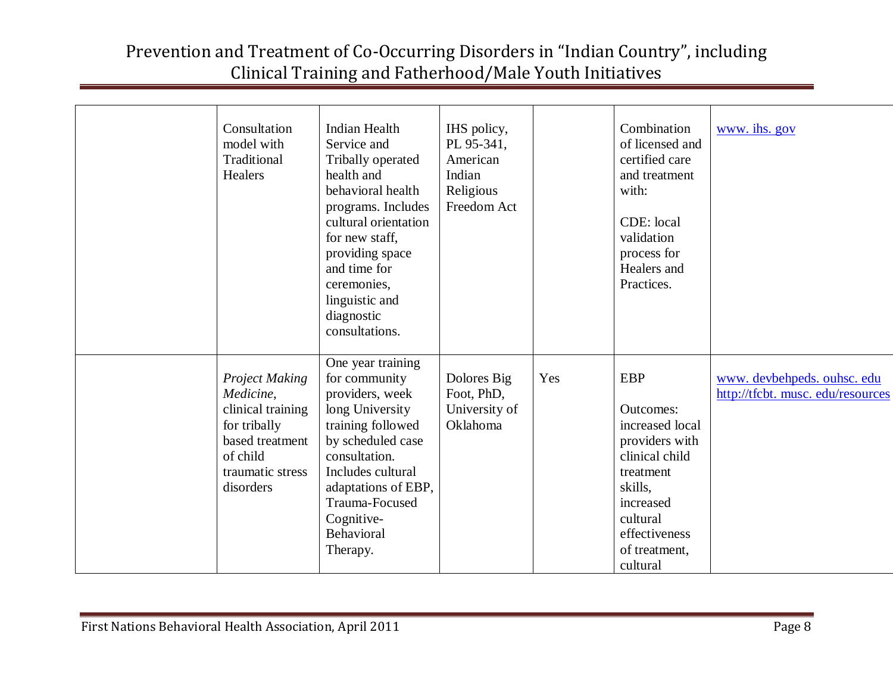| Consultation<br>model with<br>Traditional<br>Healers                                                                                    | <b>Indian Health</b><br>Service and<br>Tribally operated<br>health and<br>behavioral health<br>programs. Includes<br>cultural orientation<br>for new staff,<br>providing space<br>and time for<br>ceremonies,<br>linguistic and<br>diagnostic<br>consultations. | IHS policy,<br>PL 95-341,<br>American<br>Indian<br>Religious<br>Freedom Act |     | Combination<br>of licensed and<br>certified care<br>and treatment<br>with:<br>CDE: local<br>validation<br>process for<br>Healers and<br>Practices.                                   | www. ihs. gov                                                 |
|-----------------------------------------------------------------------------------------------------------------------------------------|-----------------------------------------------------------------------------------------------------------------------------------------------------------------------------------------------------------------------------------------------------------------|-----------------------------------------------------------------------------|-----|--------------------------------------------------------------------------------------------------------------------------------------------------------------------------------------|---------------------------------------------------------------|
| <b>Project Making</b><br>Medicine,<br>clinical training<br>for tribally<br>based treatment<br>of child<br>traumatic stress<br>disorders | One year training<br>for community<br>providers, week<br>long University<br>training followed<br>by scheduled case<br>consultation.<br>Includes cultural<br>adaptations of EBP,<br>Trauma-Focused<br>Cognitive-<br>Behavioral<br>Therapy.                       | Dolores Big<br>Foot, PhD,<br>University of<br>Oklahoma                      | Yes | <b>EBP</b><br><b>Outcomes:</b><br>increased local<br>providers with<br>clinical child<br>treatment<br>skills,<br>increased<br>cultural<br>effectiveness<br>of treatment,<br>cultural | www.devbehpeds.ouhsc.edu<br>http://tfcbt. musc. edu/resources |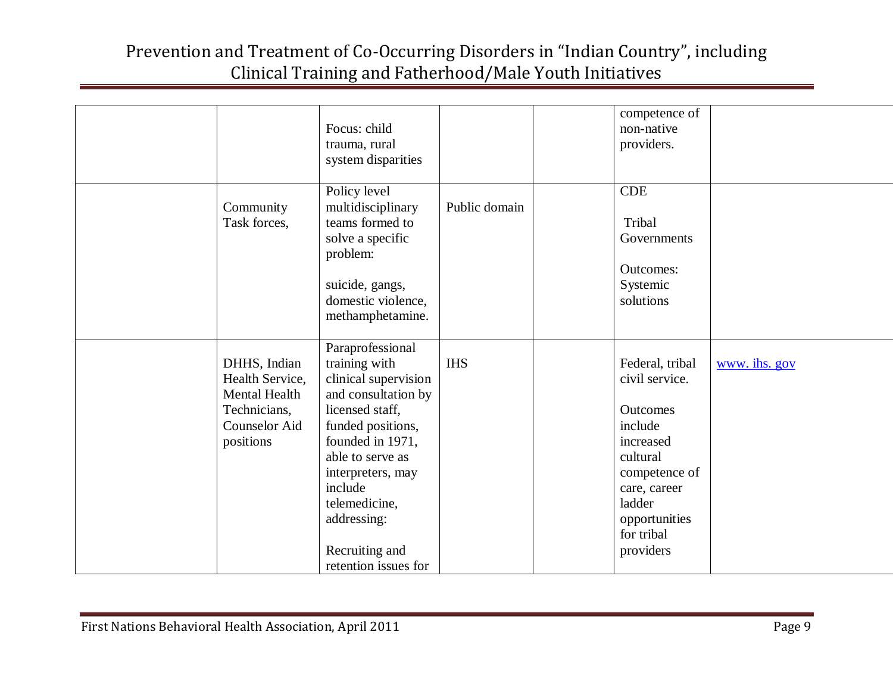|                                                                                                              | Focus: child<br>trauma, rural<br>system disparities                                                                                                                                                                                                                        |               | competence of<br>non-native<br>providers.                                                                                                                                       |               |
|--------------------------------------------------------------------------------------------------------------|----------------------------------------------------------------------------------------------------------------------------------------------------------------------------------------------------------------------------------------------------------------------------|---------------|---------------------------------------------------------------------------------------------------------------------------------------------------------------------------------|---------------|
| Community<br>Task forces,                                                                                    | Policy level<br>multidisciplinary<br>teams formed to<br>solve a specific<br>problem:<br>suicide, gangs,<br>domestic violence,<br>methamphetamine.                                                                                                                          | Public domain | <b>CDE</b><br>Tribal<br>Governments<br><b>Outcomes:</b><br>Systemic<br>solutions                                                                                                |               |
| DHHS, Indian<br>Health Service,<br><b>Mental Health</b><br>Technicians,<br><b>Counselor Aid</b><br>positions | Paraprofessional<br>training with<br>clinical supervision<br>and consultation by<br>licensed staff,<br>funded positions,<br>founded in 1971,<br>able to serve as<br>interpreters, may<br>include<br>telemedicine,<br>addressing:<br>Recruiting and<br>retention issues for | <b>IHS</b>    | Federal, tribal<br>civil service.<br><b>Outcomes</b><br>include<br>increased<br>cultural<br>competence of<br>care, career<br>ladder<br>opportunities<br>for tribal<br>providers | www. ihs. gov |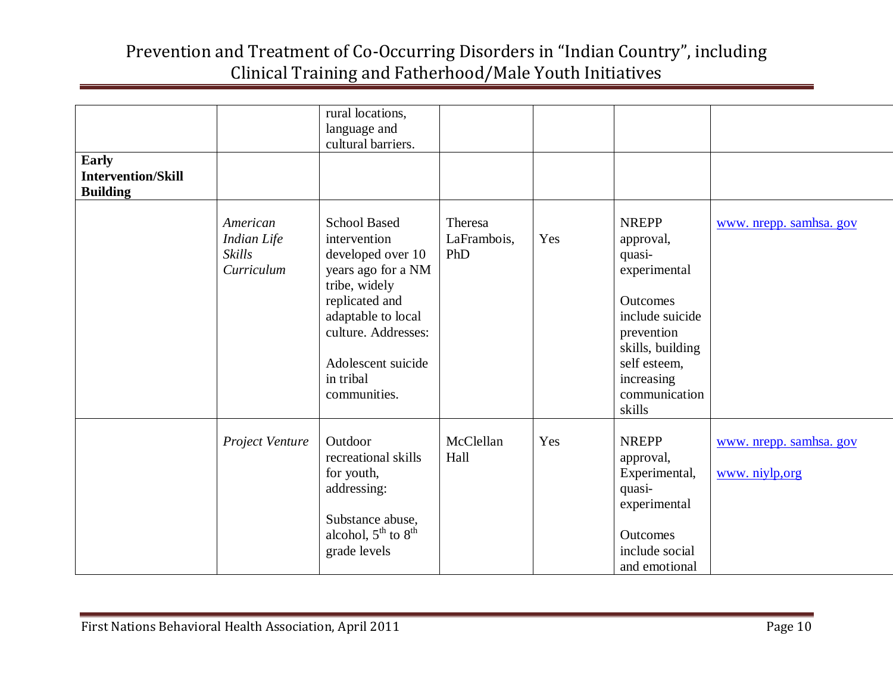|                                                              |                                                               | rural locations,<br>language and<br>cultural barriers.                                                                                                                                                            |                               |     |                                                                                                                                                                               |                                           |
|--------------------------------------------------------------|---------------------------------------------------------------|-------------------------------------------------------------------------------------------------------------------------------------------------------------------------------------------------------------------|-------------------------------|-----|-------------------------------------------------------------------------------------------------------------------------------------------------------------------------------|-------------------------------------------|
| <b>Early</b><br><b>Intervention/Skill</b><br><b>Building</b> |                                                               |                                                                                                                                                                                                                   |                               |     |                                                                                                                                                                               |                                           |
|                                                              | American<br><b>Indian Life</b><br><b>Skills</b><br>Curriculum | <b>School Based</b><br>intervention<br>developed over 10<br>years ago for a NM<br>tribe, widely<br>replicated and<br>adaptable to local<br>culture. Addresses:<br>Adolescent suicide<br>in tribal<br>communities. | Theresa<br>LaFrambois,<br>PhD | Yes | <b>NREPP</b><br>approval,<br>quasi-<br>experimental<br>Outcomes<br>include suicide<br>prevention<br>skills, building<br>self esteem,<br>increasing<br>communication<br>skills | www. nrepp. samhsa. gov                   |
|                                                              | Project Venture                                               | Outdoor<br>recreational skills<br>for youth,<br>addressing:<br>Substance abuse,<br>alcohol, $5^{th}$ to $8^{th}$<br>grade levels                                                                                  | McClellan<br>Hall             | Yes | <b>NREPP</b><br>approval,<br>Experimental,<br>quasi-<br>experimental<br>Outcomes<br>include social<br>and emotional                                                           | www. nrepp. samhsa. gov<br>www. niylp,org |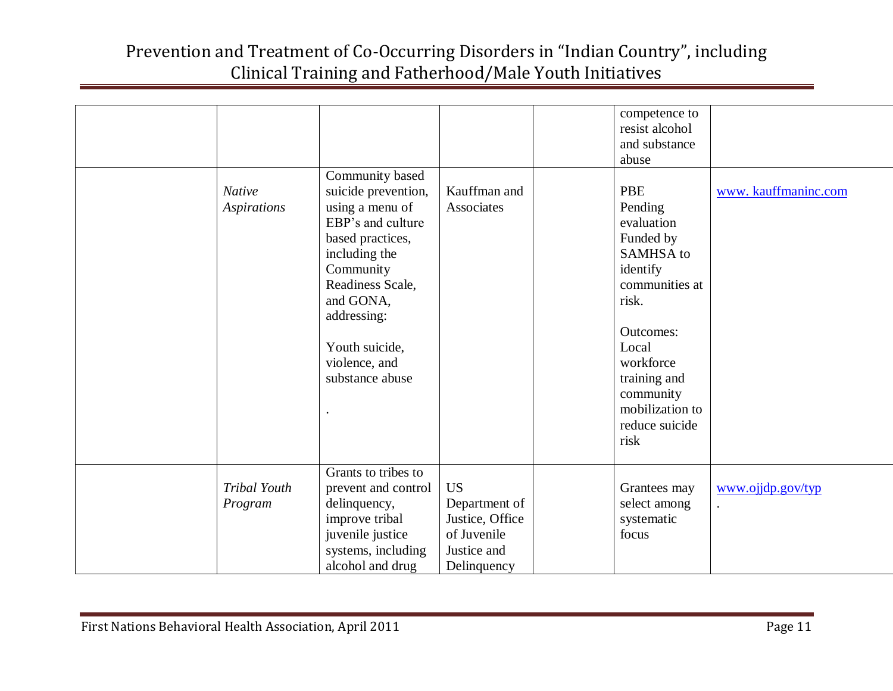| <b>Native</b>           | Community based<br>suicide prevention,                                                                                                                                                       | Kauffman and                                                                               | competence to<br>resist alcohol<br>and substance<br>abuse<br><b>PBE</b>                                                                                                                                    | www.kauffmaninc.com |
|-------------------------|----------------------------------------------------------------------------------------------------------------------------------------------------------------------------------------------|--------------------------------------------------------------------------------------------|------------------------------------------------------------------------------------------------------------------------------------------------------------------------------------------------------------|---------------------|
| Aspirations             | using a menu of<br>EBP's and culture<br>based practices,<br>including the<br>Community<br>Readiness Scale,<br>and GONA,<br>addressing:<br>Youth suicide,<br>violence, and<br>substance abuse | Associates                                                                                 | Pending<br>evaluation<br>Funded by<br><b>SAMHSA</b> to<br>identify<br>communities at<br>risk.<br>Outcomes:<br>Local<br>workforce<br>training and<br>community<br>mobilization to<br>reduce suicide<br>risk |                     |
| Tribal Youth<br>Program | Grants to tribes to<br>prevent and control<br>delinquency,<br>improve tribal<br>juvenile justice<br>systems, including<br>alcohol and drug                                                   | <b>US</b><br>Department of<br>Justice, Office<br>of Juvenile<br>Justice and<br>Delinquency | Grantees may<br>select among<br>systematic<br>focus                                                                                                                                                        | www.ojjdp.gov/typ   |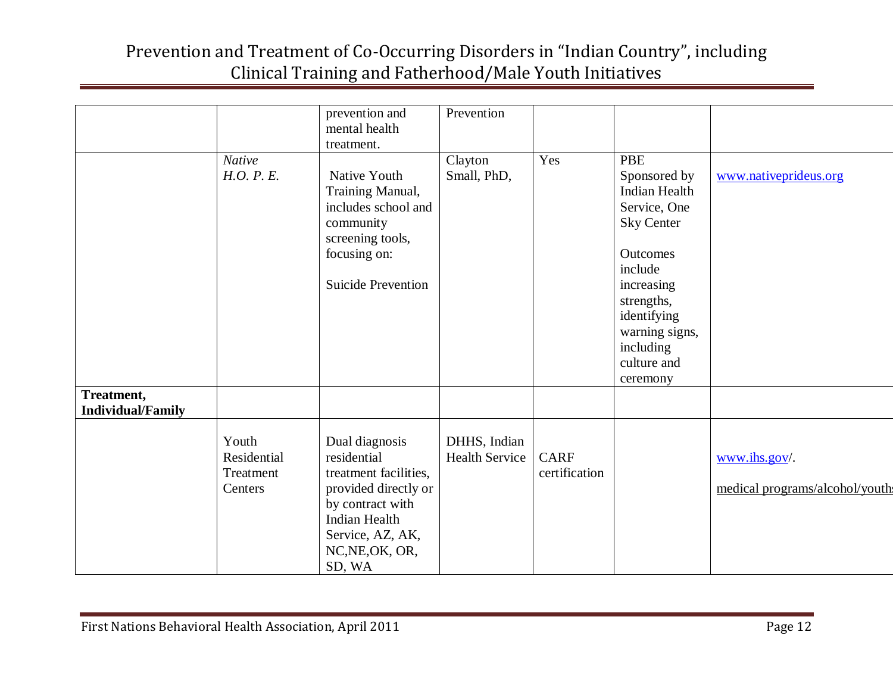|                          |                                              | prevention and<br>mental health<br>treatment.                                                                                                                               | Prevention                            |                              |                                                                                                                                                                                                                     |                                                     |
|--------------------------|----------------------------------------------|-----------------------------------------------------------------------------------------------------------------------------------------------------------------------------|---------------------------------------|------------------------------|---------------------------------------------------------------------------------------------------------------------------------------------------------------------------------------------------------------------|-----------------------------------------------------|
| Treatment,               | <b>Native</b><br>H.O. P. E.                  | Native Youth<br>Training Manual,<br>includes school and<br>community<br>screening tools,<br>focusing on:<br><b>Suicide Prevention</b>                                       | Clayton<br>Small, PhD,                | Yes                          | <b>PBE</b><br>Sponsored by<br><b>Indian Health</b><br>Service, One<br><b>Sky Center</b><br>Outcomes<br>include<br>increasing<br>strengths,<br>identifying<br>warning signs,<br>including<br>culture and<br>ceremony | www.nativeprideus.org                               |
| <b>Individual/Family</b> | Youth<br>Residential<br>Treatment<br>Centers | Dual diagnosis<br>residential<br>treatment facilities,<br>provided directly or<br>by contract with<br><b>Indian Health</b><br>Service, AZ, AK,<br>NC, NE, OK, OR,<br>SD, WA | DHHS, Indian<br><b>Health Service</b> | <b>CARF</b><br>certification |                                                                                                                                                                                                                     | $www.ihs.gov/$ .<br>medical programs/alcohol/youth: |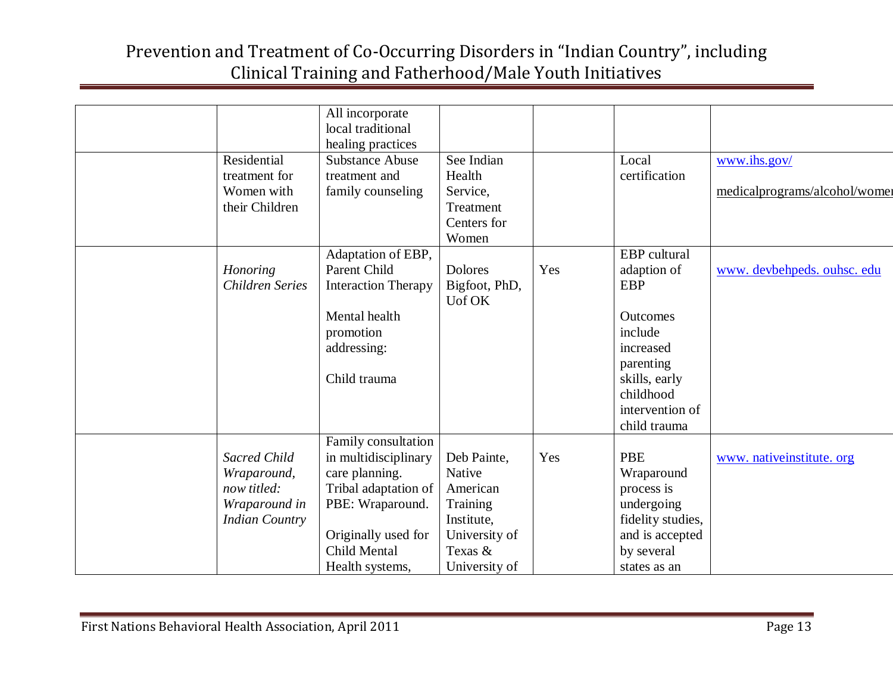|                       | All incorporate            |                |     |                   |                               |
|-----------------------|----------------------------|----------------|-----|-------------------|-------------------------------|
|                       | local traditional          |                |     |                   |                               |
|                       | healing practices          |                |     |                   |                               |
| Residential           | <b>Substance Abuse</b>     | See Indian     |     | Local             | www.ihs.gov/                  |
| treatment for         | treatment and              | Health         |     | certification     |                               |
| Women with            | family counseling          | Service,       |     |                   | medicalprograms/alcohol/women |
| their Children        |                            | Treatment      |     |                   |                               |
|                       |                            | Centers for    |     |                   |                               |
|                       |                            | Women          |     |                   |                               |
|                       | Adaptation of EBP,         |                |     | EBP cultural      |                               |
| Honoring              | Parent Child               | <b>Dolores</b> | Yes | adaption of       | www.devbehpeds.ouhsc.edu      |
| Children Series       | <b>Interaction Therapy</b> | Bigfoot, PhD,  |     | <b>EBP</b>        |                               |
|                       |                            | Uof OK         |     |                   |                               |
|                       | Mental health              |                |     | Outcomes          |                               |
|                       | promotion                  |                |     | include           |                               |
|                       | addressing:                |                |     | increased         |                               |
|                       |                            |                |     | parenting         |                               |
|                       | Child trauma               |                |     | skills, early     |                               |
|                       |                            |                |     | childhood         |                               |
|                       |                            |                |     | intervention of   |                               |
|                       |                            |                |     | child trauma      |                               |
|                       | Family consultation        |                |     |                   |                               |
| <b>Sacred Child</b>   | in multidisciplinary       | Deb Painte,    | Yes | <b>PBE</b>        | www. nativeinstitute. org     |
| Wraparound,           | care planning.             | Native         |     | Wraparound        |                               |
| now titled:           | Tribal adaptation of       | American       |     | process is        |                               |
| Wraparound in         | PBE: Wraparound.           | Training       |     | undergoing        |                               |
| <b>Indian Country</b> |                            | Institute,     |     | fidelity studies, |                               |
|                       | Originally used for        | University of  |     | and is accepted   |                               |
|                       | <b>Child Mental</b>        | Texas &        |     | by several        |                               |
|                       | Health systems,            | University of  |     | states as an      |                               |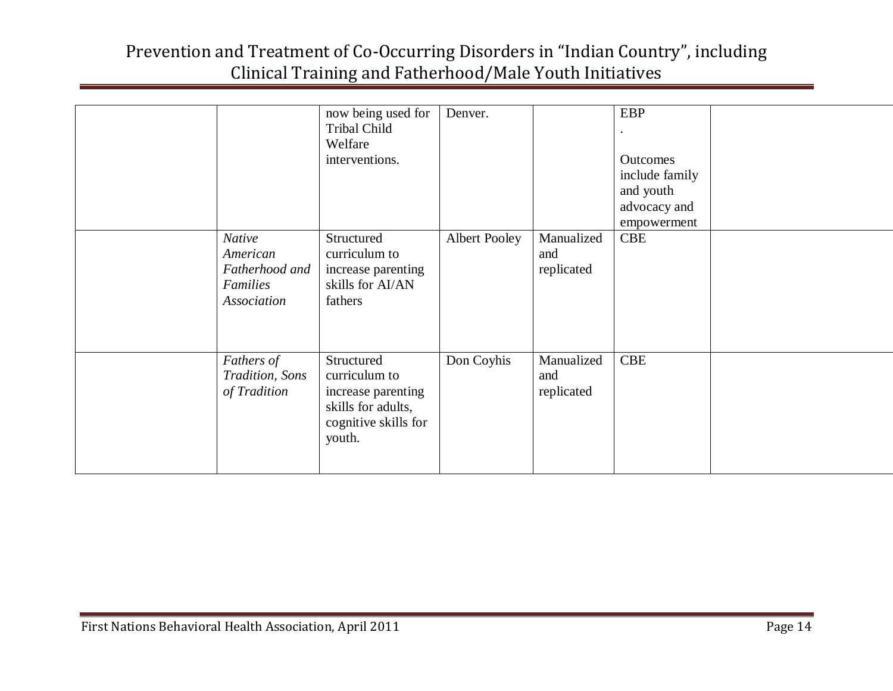|                                                                 | now being used for<br>Tribal Child<br>Welfare<br>interventions.                                           | Denver.              |                                 | <b>EBP</b><br>Outcomes<br>include family<br>and youth<br>advocacy and<br>empowerment |  |
|-----------------------------------------------------------------|-----------------------------------------------------------------------------------------------------------|----------------------|---------------------------------|--------------------------------------------------------------------------------------|--|
| Native<br>American<br>Fatherhood and<br>Families<br>Association | Structured<br>curriculum to<br>increase parenting<br>skills for AI/AN<br>fathers                          | <b>Albert Pooley</b> | Manualized<br>and<br>replicated | <b>CBE</b>                                                                           |  |
| Fathers of<br>Tradition, Sons<br>of Tradition                   | Structured<br>curriculum to<br>increase parenting<br>skills for adults,<br>cognitive skills for<br>youth. | Don Coyhis           | Manualized<br>and<br>replicated | <b>CBE</b>                                                                           |  |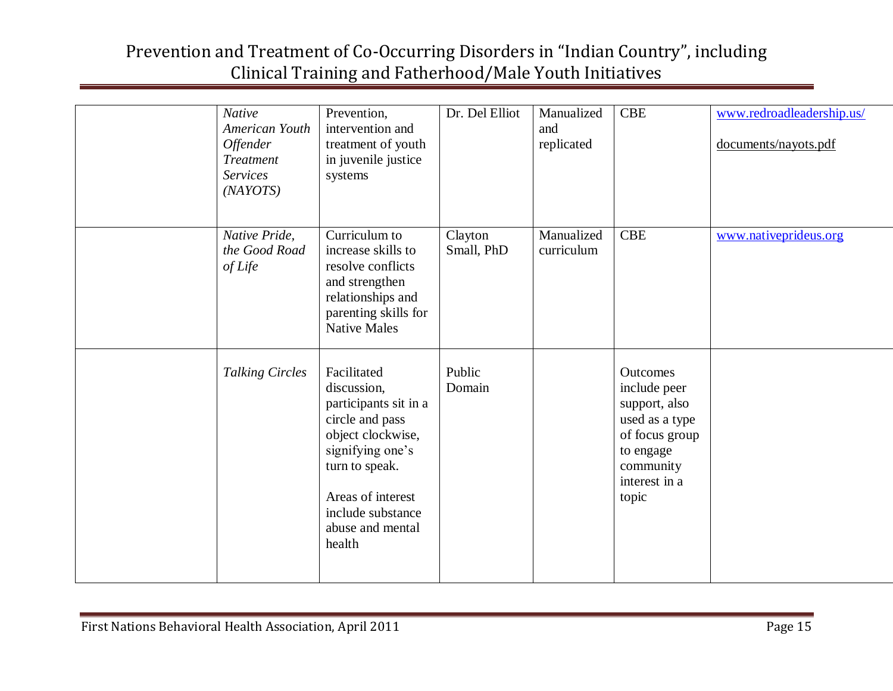| <b>Native</b><br>American Youth<br><b>Offender</b><br><b>Treatment</b><br><b>Services</b><br>(NAYOTS) | Prevention,<br>intervention and<br>treatment of youth<br>in juvenile justice<br>systems                                                                                                                   | Dr. Del Elliot        | Manualized<br>and<br>replicated | <b>CBE</b>                                                                                                                        | www.redroadleadership.us/<br>documents/nayots.pdf |
|-------------------------------------------------------------------------------------------------------|-----------------------------------------------------------------------------------------------------------------------------------------------------------------------------------------------------------|-----------------------|---------------------------------|-----------------------------------------------------------------------------------------------------------------------------------|---------------------------------------------------|
| Native Pride,<br>the Good Road<br>of Life                                                             | Curriculum to<br>increase skills to<br>resolve conflicts<br>and strengthen<br>relationships and<br>parenting skills for<br><b>Native Males</b>                                                            | Clayton<br>Small, PhD | Manualized<br>curriculum        | <b>CBE</b>                                                                                                                        | www.nativeprideus.org                             |
| <b>Talking Circles</b>                                                                                | Facilitated<br>discussion,<br>participants sit in a<br>circle and pass<br>object clockwise,<br>signifying one's<br>turn to speak.<br>Areas of interest<br>include substance<br>abuse and mental<br>health | Public<br>Domain      |                                 | Outcomes<br>include peer<br>support, also<br>used as a type<br>of focus group<br>to engage<br>community<br>interest in a<br>topic |                                                   |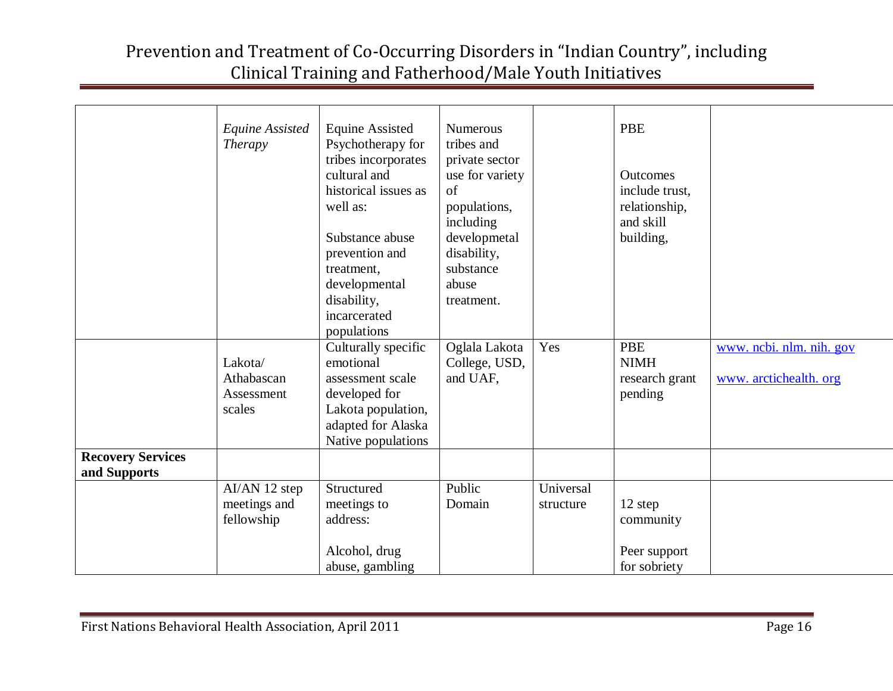|                                          | <b>Equine Assisted</b><br><i>Therapy</i>      | <b>Equine Assisted</b><br>Psychotherapy for<br>tribes incorporates<br>cultural and<br>historical issues as<br>well as:<br>Substance abuse<br>prevention and<br>treatment,<br>developmental<br>disability,<br>incarcerated<br>populations | Numerous<br>tribes and<br>private sector<br>use for variety<br>of<br>populations,<br>including<br>developmetal<br>disability,<br>substance<br>abuse<br>treatment. |                        | <b>PBE</b><br><b>Outcomes</b><br>include trust,<br>relationship,<br>and skill<br>building, |                                                    |
|------------------------------------------|-----------------------------------------------|------------------------------------------------------------------------------------------------------------------------------------------------------------------------------------------------------------------------------------------|-------------------------------------------------------------------------------------------------------------------------------------------------------------------|------------------------|--------------------------------------------------------------------------------------------|----------------------------------------------------|
|                                          | Lakota/<br>Athabascan<br>Assessment<br>scales | Culturally specific<br>emotional<br>assessment scale<br>developed for<br>Lakota population,<br>adapted for Alaska<br>Native populations                                                                                                  | Oglala Lakota<br>College, USD,<br>and UAF,                                                                                                                        | Yes                    | <b>PBE</b><br><b>NIMH</b><br>research grant<br>pending                                     | www. ncbi. nlm. nih. gov<br>www. arctichealth. org |
| <b>Recovery Services</b><br>and Supports |                                               |                                                                                                                                                                                                                                          |                                                                                                                                                                   |                        |                                                                                            |                                                    |
|                                          | AI/AN 12 step<br>meetings and<br>fellowship   | Structured<br>meetings to<br>address:<br>Alcohol, drug<br>abuse, gambling                                                                                                                                                                | Public<br>Domain                                                                                                                                                  | Universal<br>structure | 12 step<br>community<br>Peer support<br>for sobriety                                       |                                                    |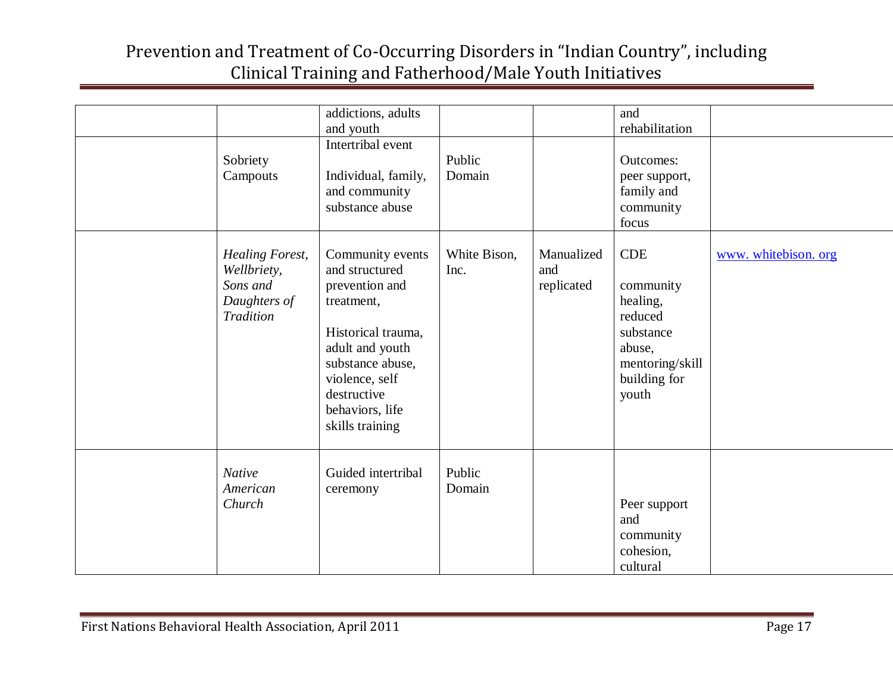|                                                                                       | addictions, adults<br>and youth                                                                                                                                                                        |                      |                                 | and<br>rehabilitation                                                                                             |                      |
|---------------------------------------------------------------------------------------|--------------------------------------------------------------------------------------------------------------------------------------------------------------------------------------------------------|----------------------|---------------------------------|-------------------------------------------------------------------------------------------------------------------|----------------------|
| Sobriety<br>Campouts                                                                  | Intertribal event<br>Individual, family,<br>and community<br>substance abuse                                                                                                                           | Public<br>Domain     |                                 | <b>Outcomes:</b><br>peer support,<br>family and<br>community<br>focus                                             |                      |
| <b>Healing Forest,</b><br>Wellbriety,<br>Sons and<br>Daughters of<br><b>Tradition</b> | Community events<br>and structured<br>prevention and<br>treatment,<br>Historical trauma,<br>adult and youth<br>substance abuse,<br>violence, self<br>destructive<br>behaviors, life<br>skills training | White Bison,<br>Inc. | Manualized<br>and<br>replicated | <b>CDE</b><br>community<br>healing,<br>reduced<br>substance<br>abuse,<br>mentoring/skill<br>building for<br>youth | www. whitebison. org |
| <b>Native</b><br>American<br>Church                                                   | Guided intertribal<br>ceremony                                                                                                                                                                         | Public<br>Domain     |                                 | Peer support<br>and<br>community<br>cohesion,<br>cultural                                                         |                      |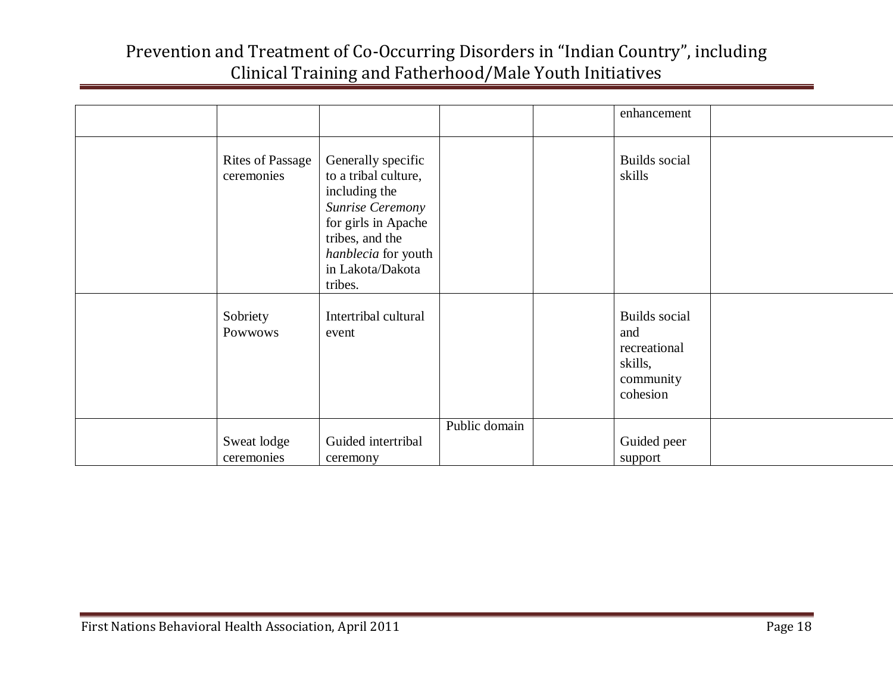|                                       |                                                                                                                                                                                 |               | enhancement                                                                     |  |
|---------------------------------------|---------------------------------------------------------------------------------------------------------------------------------------------------------------------------------|---------------|---------------------------------------------------------------------------------|--|
| <b>Rites of Passage</b><br>ceremonies | Generally specific<br>to a tribal culture,<br>including the<br>Sunrise Ceremony<br>for girls in Apache<br>tribes, and the<br>hanblecia for youth<br>in Lakota/Dakota<br>tribes. |               | <b>Builds</b> social<br>skills                                                  |  |
| Sobriety<br>Powwows                   | Intertribal cultural<br>event                                                                                                                                                   |               | <b>Builds</b> social<br>and<br>recreational<br>skills,<br>community<br>cohesion |  |
| Sweat lodge<br>ceremonies             | Guided intertribal<br>ceremony                                                                                                                                                  | Public domain | Guided peer<br>support                                                          |  |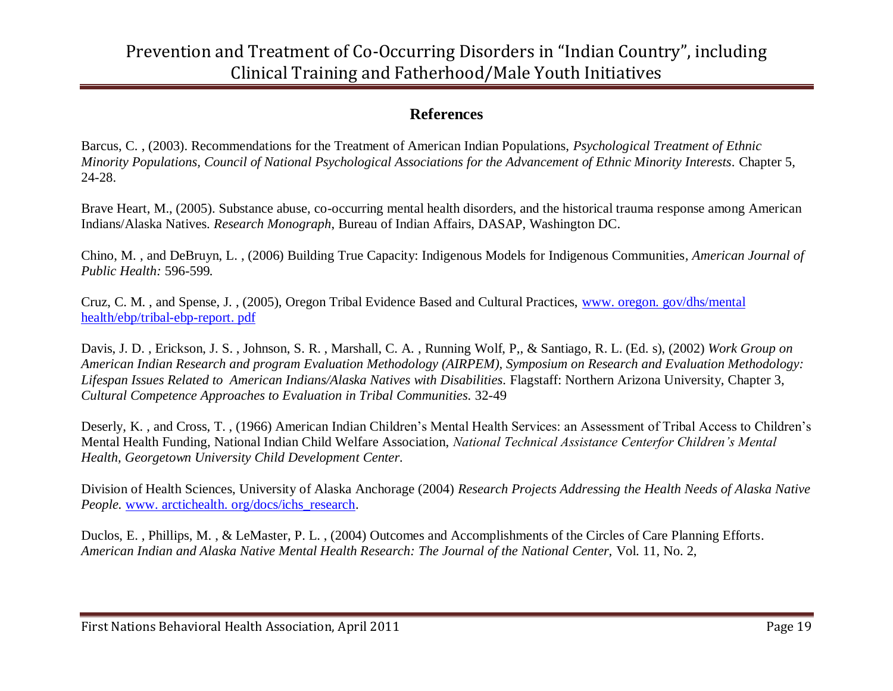#### **References**

Barcus, C. , (2003). Recommendations for the Treatment of American Indian Populations, *Psychological Treatment of Ethnic Minority Populations, Council of National Psychological Associations for the Advancement of Ethnic Minority Interests.* Chapter 5, 24-28.

Brave Heart, M., (2005). Substance abuse, co-occurring mental health disorders, and the historical trauma response among American Indians/Alaska Natives. *Research Monograph*, Bureau of Indian Affairs, DASAP, Washington DC.

Chino, M. , and DeBruyn, L. , (2006) Building True Capacity: Indigenous Models for Indigenous Communities*, American Journal of Public Health:* 596-599*.* 

Cruz, C. M. , and Spense, J. , (2005), Oregon Tribal Evidence Based and Cultural Practices, [www. oregon. gov/dhs/mental](http://www.oregon.gov/dhs/mental%20health/ebp/tribal-ebp-report.pdf)  [health/ebp/tribal-ebp-report. pdf](http://www.oregon.gov/dhs/mental%20health/ebp/tribal-ebp-report.pdf)

Davis, J. D. , Erickson, J. S. , Johnson, S. R. , Marshall, C. A. , Running Wolf, P,, & Santiago, R. L. (Ed. s), (2002) *Work Group on American Indian Research and program Evaluation Methodology (AIRPEM), Symposium on Research and Evaluation Methodology: Lifespan Issues Related to American Indians/Alaska Natives with Disabilities.* Flagstaff: Northern Arizona University, Chapter 3, *Cultural Competence Approaches to Evaluation in Tribal Communities.* 32-49

Deserly, K. , and Cross, T. , (1966) American Indian Children's Mental Health Services: an Assessment of Tribal Access to Children's Mental Health Funding, National Indian Child Welfare Association, *National Technical Assistance Centerfor Children's Mental Health, Georgetown University Child Development Center.*

Division of Health Sciences, University of Alaska Anchorage (2004) *Research Projects Addressing the Health Needs of Alaska Native People.* [www. arctichealth. org/docs/ichs\\_research.](http://www.arctichealth.org/docs/ichs_research)

Duclos, E. , Phillips, M. , & LeMaster, P. L. , (2004) Outcomes and Accomplishments of the Circles of Care Planning Efforts. *American Indian and Alaska Native Mental Health Research: The Journal of the National Center,* Vol. 11, No. 2,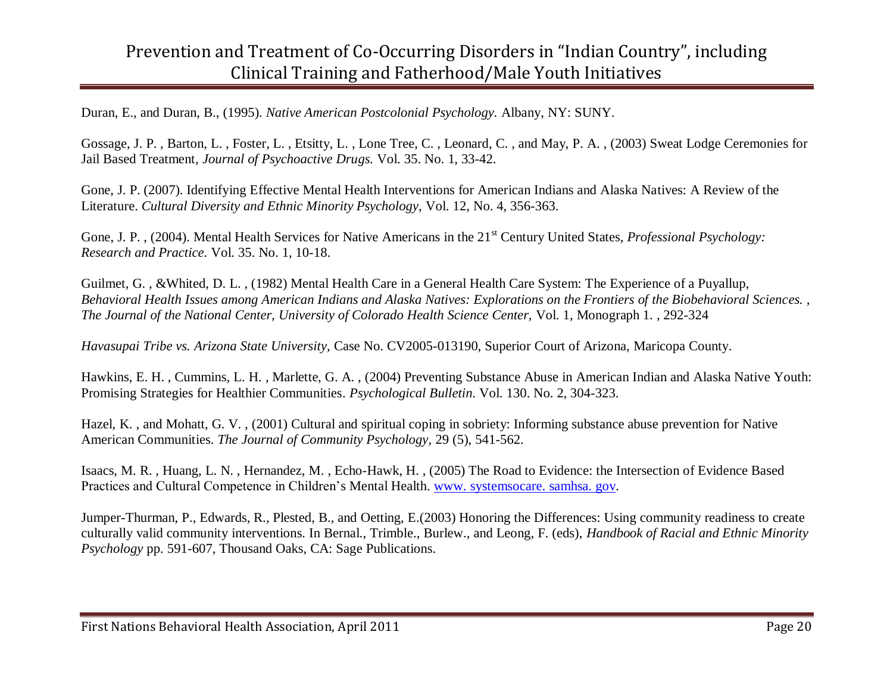Duran, E., and Duran, B., (1995). *Native American Postcolonial Psychology.* Albany, NY: SUNY.

Gossage, J. P. , Barton, L. , Foster, L. , Etsitty, L. , Lone Tree, C. , Leonard, C. , and May, P. A. , (2003) Sweat Lodge Ceremonies for Jail Based Treatment, *Journal of Psychoactive Drugs.* Vol. 35. No. 1, 33-42.

Gone, J. P. (2007). Identifying Effective Mental Health Interventions for American Indians and Alaska Natives: A Review of the Literature. *Cultural Diversity and Ethnic Minority Psychology,* Vol. 12, No. 4, 356-363.

Gone, J. P., (2004). Mental Health Services for Native Americans in the 21<sup>st</sup> Century United States, *Professional Psychology*: *Research and Practice.* Vol. 35. No. 1, 10-18.

Guilmet, G., &Whited, D. L., (1982) Mental Health Care in a General Health Care System: The Experience of a Puyallup, *Behavioral Health Issues among American Indians and Alaska Natives: Explorations on the Frontiers of the Biobehavioral Sciences. , The Journal of the National Center, University of Colorado Health Science Center,* Vol. 1, Monograph 1. , 292-324

*Havasupai Tribe vs. Arizona State University,* Case No. CV2005-013190, Superior Court of Arizona, Maricopa County.

Hawkins, E. H. , Cummins, L. H. , Marlette, G. A. , (2004) Preventing Substance Abuse in American Indian and Alaska Native Youth: Promising Strategies for Healthier Communities. *Psychological Bulletin.* Vol. 130. No. 2, 304-323.

Hazel, K. , and Mohatt, G. V. , (2001) Cultural and spiritual coping in sobriety: Informing substance abuse prevention for Native American Communities. *The Journal of Community Psychology,* 29 (5), 541-562.

Isaacs, M. R. , Huang, L. N. , Hernandez, M. , Echo-Hawk, H. , (2005) The Road to Evidence: the Intersection of Evidence Based Practices and Cultural Competence in Children's Mental Health. [www. systemsocare. samhsa. gov.](http://www.systemsocare.samhsa.gov/)

Jumper-Thurman, P., Edwards, R., Plested, B., and Oetting, E.(2003) Honoring the Differences: Using community readiness to create culturally valid community interventions. In Bernal., Trimble., Burlew., and Leong, F. (eds), *Handbook of Racial and Ethnic Minority Psychology* pp. 591-607, Thousand Oaks, CA: Sage Publications.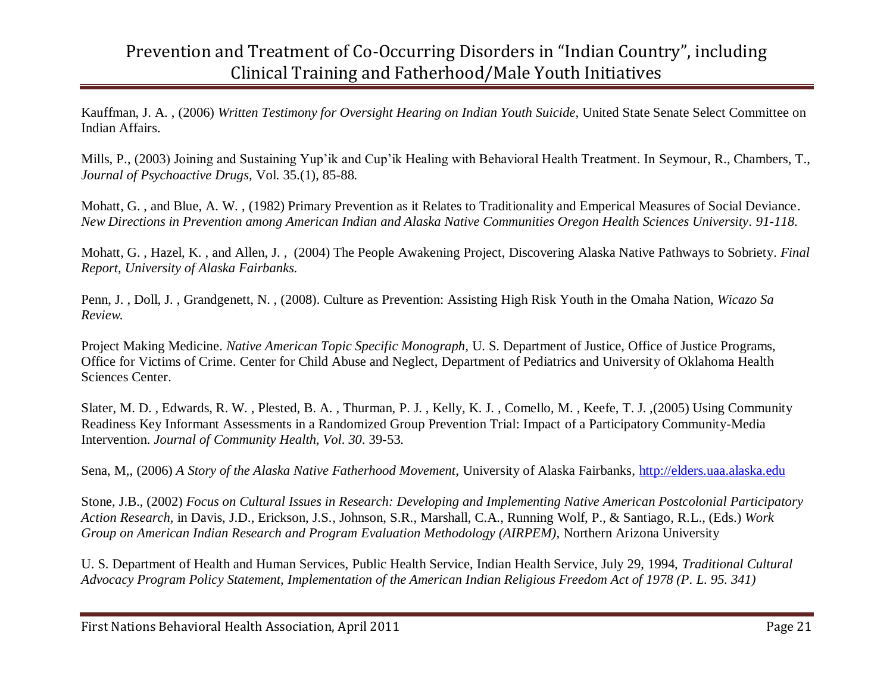Kauffman, J. A. , (2006) *Written Testimony for Oversight Hearing on Indian Youth Suicide,* United State Senate Select Committee on Indian Affairs.

Mills, P., (2003) Joining and Sustaining Yup'ik and Cup'ik Healing with Behavioral Health Treatment. In Seymour, R., Chambers, T., *Journal of Psychoactive Drugs,* Vol. 35.(1), 85-88.

Mohatt, G. , and Blue, A. W. , (1982) Primary Prevention as it Relates to Traditionality and Emperical Measures of Social Deviance. *New Directions in Prevention among American Indian and Alaska Native Communities Oregon Health Sciences University. 91-118.* 

Mohatt, G. , Hazel, K. , and Allen, J. , (2004) The People Awakening Project, Discovering Alaska Native Pathways to Sobriety. *Final Report, University of Alaska Fairbanks.* 

Penn, J. , Doll, J. , Grandgenett, N. , (2008). Culture as Prevention: Assisting High Risk Youth in the Omaha Nation, *Wicazo Sa Review.* 

Project Making Medicine. *Native American Topic Specific Monograph,* U. S. Department of Justice, Office of Justice Programs, Office for Victims of Crime. Center for Child Abuse and Neglect, Department of Pediatrics and University of Oklahoma Health Sciences Center.

Slater, M. D. , Edwards, R. W. , Plested, B. A. , Thurman, P. J. , Kelly, K. J. , Comello, M. , Keefe, T. J. ,(2005) Using Community Readiness Key Informant Assessments in a Randomized Group Prevention Trial: Impact of a Participatory Community-Media Intervention. *Journal of Community Health, Vol. 30*. 39-53.

Sena, M,, (2006) *A Story of the Alaska Native Fatherhood Movement,* University of Alaska Fairbanks, [http://elders.uaa.alaska.edu](http://elders.uaa.alaska.edu/)

Stone, J.B., (2002) *Focus on Cultural Issues in Research: Developing and Implementing Native American Postcolonial Participatory Action Research,* in Davis, J.D., Erickson, J.S*.,* Johnson, S.R., Marshall, C.A., Running Wolf, P., & Santiago, R.L., (Eds.) *Work Group on American Indian Research and Program Evaluation Methodology (AIRPEM),* Northern Arizona University

U. S. Department of Health and Human Services, Public Health Service, Indian Health Service, July 29, 1994, *Traditional Cultural Advocacy Program Policy Statement, Implementation of the American Indian Religious Freedom Act of 1978 (P. L. 95. 341)*